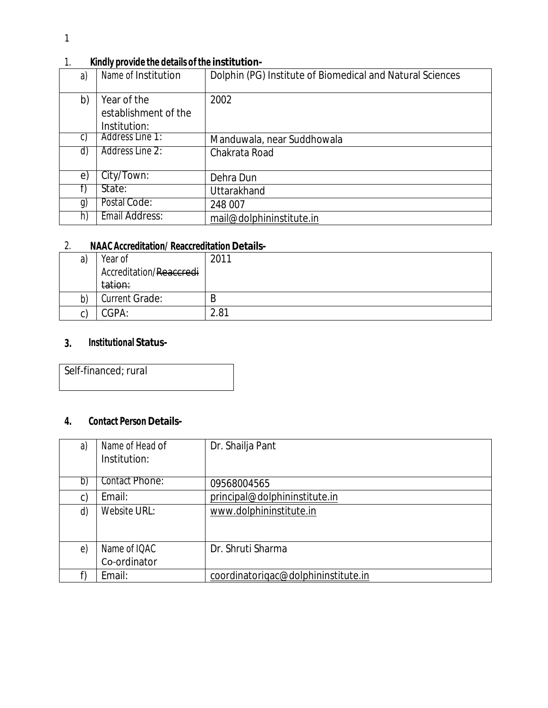|                      | Dolphin (PG) Institute of Biomedical and Natural Sciences                                          |
|----------------------|----------------------------------------------------------------------------------------------------|
| Year of the          | 2002                                                                                               |
| establishment of the |                                                                                                    |
| Institution:         |                                                                                                    |
|                      | Manduwala, near Suddhowala                                                                         |
|                      | Chakrata Road                                                                                      |
|                      |                                                                                                    |
| City/Town:           | Dehra Dun                                                                                          |
| State:               | Uttarakhand                                                                                        |
|                      | 248 007                                                                                            |
|                      | mail@dolphininstitute.in                                                                           |
|                      | Name of Institution<br>Address Line 1:<br>Address Line 2:<br>Postal Code:<br><b>Email Address:</b> |

# 1. **Kindly provide the details of the institution-**

# 2. **NAAC Accreditation/ Reaccreditation Details-**

| a)      | Year of                 | 2011 |
|---------|-------------------------|------|
|         | Accreditation/Reaccredi |      |
|         | tation:                 |      |
| b)      | <b>Current Grade:</b>   | B    |
| ົ<br>ιı | CGPA:                   | 2.81 |

# **3. Institutional Status-**

Self-financed; rural

# **4. Contact Person Details-**

| a)       | Name of Head of<br>Institution: | Dr. Shailja Pant                    |
|----------|---------------------------------|-------------------------------------|
| b)       | Contact Phone:                  | 09568004565                         |
| c)       | Email:                          | principal@dolphininstitute.in       |
| d)       | Website URL:                    | www.dolphininstitute.in             |
| $\Theta$ | Name of IQAC                    | Dr. Shruti Sharma                   |
|          | Co-ordinator                    |                                     |
|          | Email:                          | coordinatorigac@dolphininstitute.in |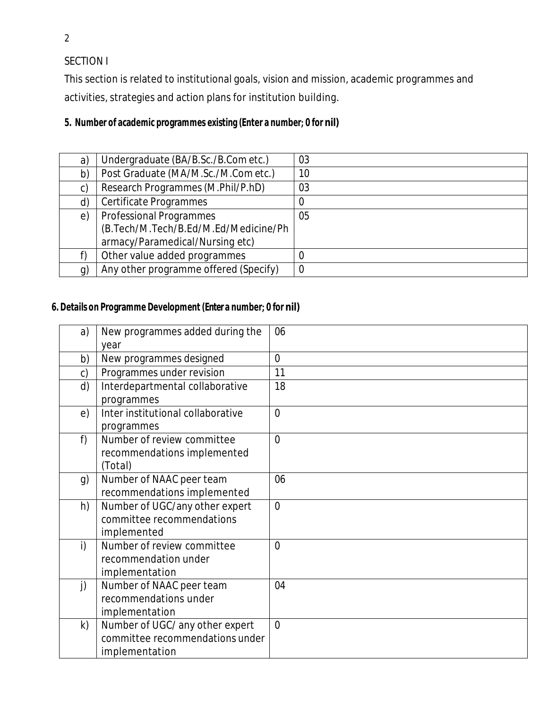SECTION I

This section is related to institutional goals, vision and mission, academic programmes and activities, strategies and action plans for institution building.

# **5. Number of academic programmes existing (Enter a number; 0 for nil)**

| a)             | Undergraduate (BA/B.Sc./B.Com etc.)   | 03             |
|----------------|---------------------------------------|----------------|
| b)             | Post Graduate (MA/M.Sc./M.Com etc.)   | 10             |
| C)             | Research Programmes (M.Phil/P.hD)     | 03             |
| d)             | Certificate Programmes                | 0              |
| e)             | <b>Professional Programmes</b>        | 05             |
|                | (B.Tech/M.Tech/B.Ed/M.Ed/Medicine/Ph  |                |
|                | armacy/Paramedical/Nursing etc)       |                |
|                | Other value added programmes          | 0              |
| $\mathfrak{g}$ | Any other programme offered (Specify) | $\overline{0}$ |

# **6. Details on Programme Development (Enter a number; 0 for nil)**

| a)            | New programmes added during the   | 06             |
|---------------|-----------------------------------|----------------|
|               | year                              |                |
| b)            | New programmes designed           | $\overline{0}$ |
| $\mathsf{c})$ | Programmes under revision         | 11             |
| d)            | Interdepartmental collaborative   | 18             |
|               | programmes                        |                |
| e)            | Inter institutional collaborative | $\overline{0}$ |
|               | programmes                        |                |
| f)            | Number of review committee        | $\overline{0}$ |
|               | recommendations implemented       |                |
|               | (Total)                           |                |
| g)            | Number of NAAC peer team          | 06             |
|               | recommendations implemented       |                |
| h)            | Number of UGC/any other expert    | $\overline{0}$ |
|               | committee recommendations         |                |
|               | implemented                       |                |
| i)            | Number of review committee        | $\overline{0}$ |
|               | recommendation under              |                |
|               | implementation                    |                |
| j)            | Number of NAAC peer team          | 04             |
|               | recommendations under             |                |
|               | implementation                    |                |
| $\mathsf{k}$  | Number of UGC/ any other expert   | $\overline{0}$ |
|               | committee recommendations under   |                |
|               | implementation                    |                |

2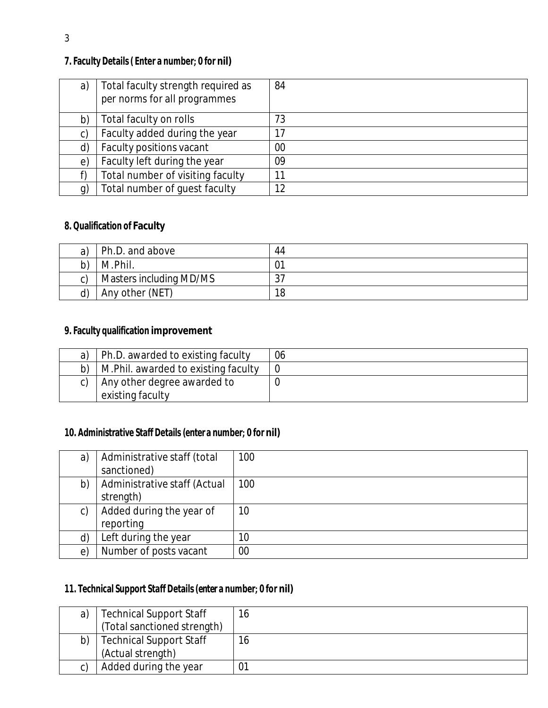# **7. Faculty Details( Enter a number; 0 for nil)**

| a) | Total faculty strength required as<br>per norms for all programmes | 84 |
|----|--------------------------------------------------------------------|----|
| b) | Total faculty on rolls                                             | 73 |
| C) | Faculty added during the year                                      | 17 |
| d) | Faculty positions vacant                                           | 00 |
| e) | Faculty left during the year                                       | 09 |
|    | Total number of visiting faculty                                   | 11 |
| g) | Total number of guest faculty                                      | 12 |

# **8. Qualification of Faculty**

| a) | Ph.D. and above         | 44 |
|----|-------------------------|----|
|    | M.Phil.                 |    |
|    | Masters including MD/MS |    |
|    | Any other (NET)         | 18 |

# **9. Faculty qualification improvement**

| Ph.D. awarded to existing faculty               | 06 |
|-------------------------------------------------|----|
| M. Phil. awarded to existing faculty<br>b)      |    |
| Any other degree awarded to<br>existing faculty |    |

## **10. Administrative Staff Details (enter a number; 0 for nil)**

| a)         | Administrative staff (total<br>sanctioned) | 100 |
|------------|--------------------------------------------|-----|
| b)         | Administrative staff (Actual<br>strength)  | 100 |
| C)         | Added during the year of<br>reporting      | 10  |
| d)         | Left during the year                       | 10  |
| $\epsilon$ | Number of posts vacant                     | 00  |

#### **11. Technical Support Staff Details(enter a number; 0 for nil)**

| a) | <b>Technical Support Staff</b> |    |
|----|--------------------------------|----|
|    | (Total sanctioned strength)    |    |
| b) | <b>Technical Support Staff</b> |    |
|    | (Actual strength)              |    |
|    | Added during the year          | 01 |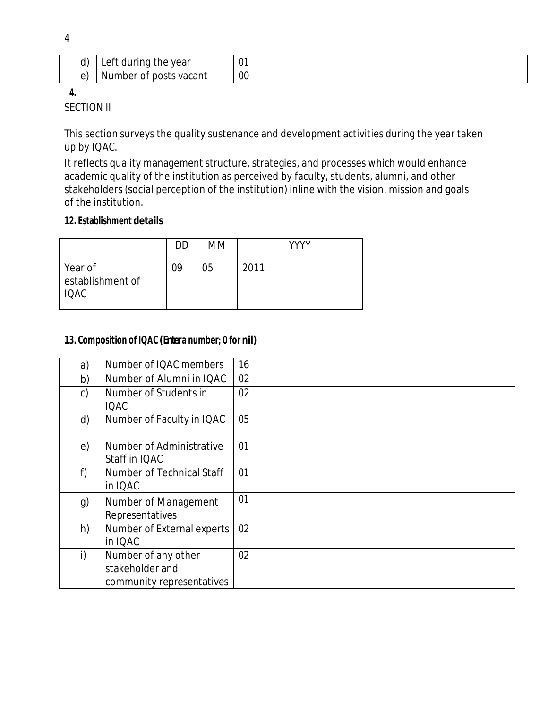| Left during the year   |    |
|------------------------|----|
| Number of posts vacant | 00 |

**4.**

SECTION II

This section surveys the quality sustenance and development activities during the year taken up by IQAC.

It reflects quality management structure, strategies, and processes which would enhance academic quality of the institution as perceived by faculty, students, alumni, and other stakeholders (social perception of the institution) inline with the vision, mission and goals of the institution.

#### **12. Establishment details**

|                                            | DD | MM | YYYY |
|--------------------------------------------|----|----|------|
| Year of<br>establishment of<br><b>IQAC</b> | 09 | 05 | 2011 |

# **13. Composition of IQAC (Entera number; 0 for nil)**

| a) | Number of IQAC members                                              | 16 |
|----|---------------------------------------------------------------------|----|
| b) | Number of Alumni in IQAC                                            | 02 |
| c) | Number of Students in<br><b>IQAC</b>                                | 02 |
| d) | Number of Faculty in IQAC                                           | 05 |
| e) | Number of Administrative<br>Staff in IQAC                           | 01 |
| f) | Number of Technical Staff<br>in IQAC                                | 01 |
| g) | Number of Management<br>Representatives                             | 01 |
| h) | Number of External experts<br>in IQAC                               | 02 |
| i) | Number of any other<br>stakeholder and<br>community representatives | 02 |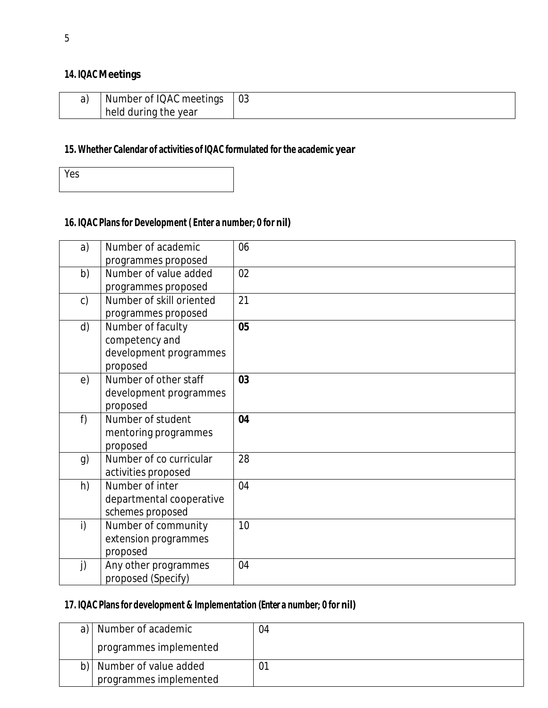#### **14. IQAC Meetings**

| Number of IQAC meetings | $\sim$<br>U3 |
|-------------------------|--------------|
| held during the year    |              |

# **15. Whether Calendar of activities of IQAC formulated for the academic year**

Yes

# **16. IQAC Plans for Development ( Enter a number; 0 for nil)**

| a)             | Number of academic       | 06 |
|----------------|--------------------------|----|
|                | programmes proposed      |    |
| b)             | Number of value added    | 02 |
|                | programmes proposed      |    |
| $\mathsf{c}$ ) | Number of skill oriented | 21 |
|                | programmes proposed      |    |
| d)             | Number of faculty        | 05 |
|                | competency and           |    |
|                | development programmes   |    |
|                | proposed                 |    |
| e)             | Number of other staff    | 03 |
|                | development programmes   |    |
|                | proposed                 |    |
| f)             | Number of student        | 04 |
|                | mentoring programmes     |    |
|                | proposed                 |    |
| g)             | Number of co curricular  | 28 |
|                | activities proposed      |    |
| h)             | Number of inter          | 04 |
|                | departmental cooperative |    |
|                | schemes proposed         |    |
| i)             | Number of community      | 10 |
|                | extension programmes     |    |
|                | proposed                 |    |
| j)             | Any other programmes     | 04 |
|                | proposed (Specify)       |    |

# **17. IQAC Plans for development & Implementation (Enter a number; 0 for nil)**

| a)   Number of academic  | 04 |
|--------------------------|----|
| programmes implemented   |    |
| b) Number of value added |    |
| programmes implemented   |    |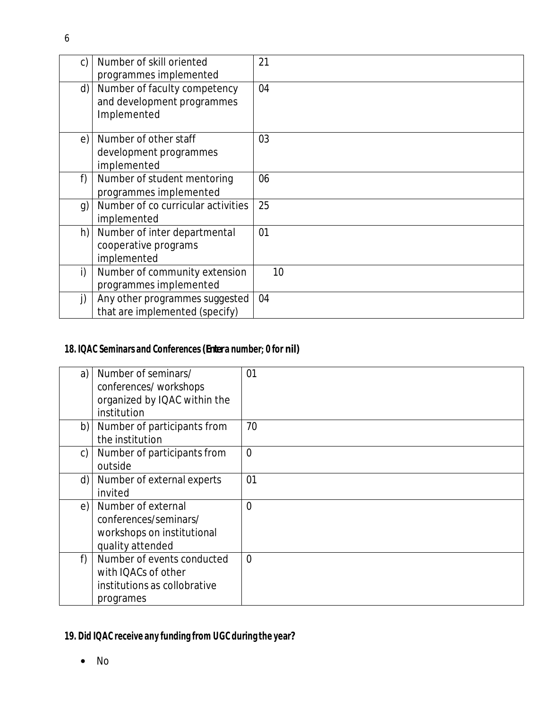| C)           | Number of skill oriented<br>programmes implemented                        | 21 |
|--------------|---------------------------------------------------------------------------|----|
| d)           | Number of faculty competency<br>and development programmes<br>Implemented | 04 |
| e)           | Number of other staff<br>development programmes<br>implemented            | 03 |
| f)           | Number of student mentoring<br>programmes implemented                     | 06 |
| g)           | Number of co curricular activities<br>implemented                         | 25 |
| h)           | Number of inter departmental<br>cooperative programs<br>implemented       | 01 |
| $\mathsf{i}$ | Number of community extension<br>programmes implemented                   | 10 |
| $\mathbf{j}$ | Any other programmes suggested<br>that are implemented (specify)          | 04 |

# **18. IQAC Seminars and Conferences(Entera number; 0 for nil)**

| a)           | Number of seminars/<br>conferences/workshops<br>organized by IQAC within the<br>institution    | 01             |
|--------------|------------------------------------------------------------------------------------------------|----------------|
| b)           | Number of participants from<br>the institution                                                 | 70             |
| $\mathsf{C}$ | Number of participants from<br>outside                                                         | $\overline{0}$ |
| d)           | Number of external experts<br>invited                                                          | 01             |
| e)           | Number of external<br>conferences/seminars/<br>workshops on institutional<br>quality attended  | $\overline{0}$ |
| f)           | Number of events conducted<br>with IQACs of other<br>institutions as collobrative<br>programes | $\overline{0}$ |

# **19. Did IQAC receive any funding from UGC during the year?**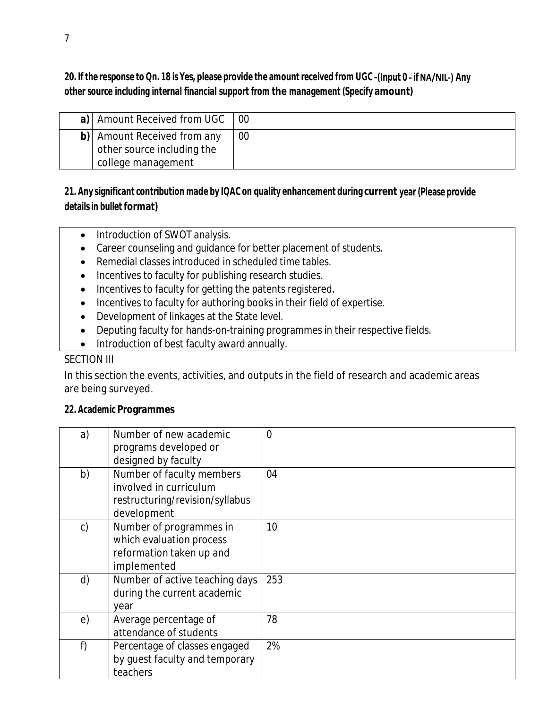# 20. If the response to Qn. 18 is Yes, please provide the amount received from UGC -(Input 0 - if NA/NIL-) Any **other source including internal financial support from the management (Specify amount)**

| a)   Amount Received from UGC                                                   | - 00 |
|---------------------------------------------------------------------------------|------|
| b) Amount Received from any<br>other source including the<br>college management | 00   |

# **21. Any significant contribution made by IQAC on quality enhancement during current year (Please provide detailsin bullet format)**

- Introduction of SWOT analysis.
- Career counseling and guidance for better placement of students.
- Remedial classes introduced in scheduled time tables.
- Incentives to faculty for publishing research studies.
- Incentives to faculty for getting the patents registered.
- Incentives to faculty for authoring books in their field of expertise.
- Development of linkages at the State level.
- Deputing faculty for hands-on-training programmes in their respective fields.
- Introduction of best faculty award annually.

# SECTION III

In this section the events, activities, and outputs in the field of research and academic areas are being surveyed.

# **22. Academic Programmes**

| a)           | Number of new academic<br>programs developed or<br>designed by faculty                                | $\overline{0}$ |
|--------------|-------------------------------------------------------------------------------------------------------|----------------|
| b)           | Number of faculty members<br>involved in curriculum<br>restructuring/revision/syllabus<br>development | 04             |
| $\mathsf{C}$ | Number of programmes in<br>which evaluation process<br>reformation taken up and<br>implemented        | 10             |
| d)           | Number of active teaching days<br>during the current academic<br>year                                 | 253            |
| e)           | Average percentage of<br>attendance of students                                                       | 78             |
| f)           | Percentage of classes engaged<br>by guest faculty and temporary<br>teachers                           | 2%             |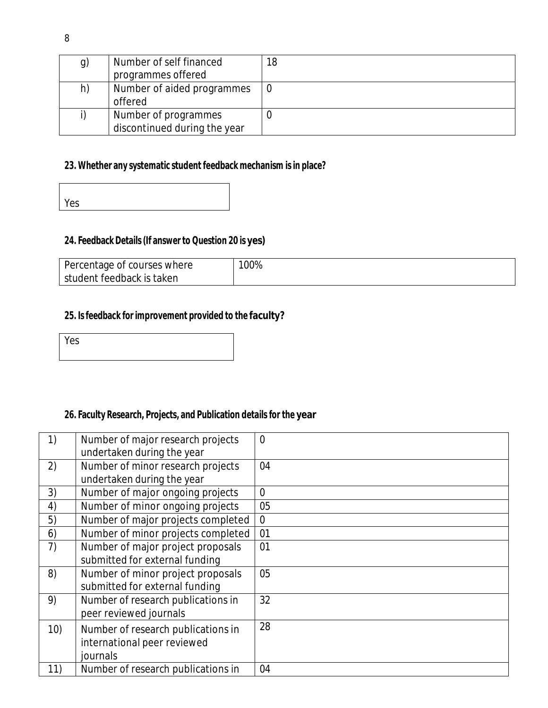|        | ٠      |         |  |
|--------|--------|---------|--|
|        |        |         |  |
|        | ٠<br>٠ |         |  |
| ×<br>× |        | ۰.<br>v |  |

| g) | Number of self financed      | 18 |
|----|------------------------------|----|
|    | programmes offered           |    |
| h) | Number of aided programmes   | 0  |
|    | offered                      |    |
|    | Number of programmes         |    |
|    | discontinued during the year |    |

# **23. Whether any systematic student feedback mechanism isin place?**

| $\sim$ $\sim$<br>res |  |  |  |
|----------------------|--|--|--|
|                      |  |  |  |

# **24. Feedback Details(If answer to Question 20 is yes)**

| Percentage of courses where | 100% |
|-----------------------------|------|
| student feedback is taken   |      |

### **25. Isfeedback for improvement provided to the faculty?**

| Yes |  |  |  |
|-----|--|--|--|
|     |  |  |  |

# **26. Faculty Research, Projects, and Publication details for the year**

| Number of major research projects  | $\overline{0}$                                                                                  |
|------------------------------------|-------------------------------------------------------------------------------------------------|
|                                    |                                                                                                 |
| Number of minor research projects  | 04                                                                                              |
| undertaken during the year         |                                                                                                 |
| Number of major ongoing projects   | $\overline{0}$                                                                                  |
| Number of minor ongoing projects   | 05                                                                                              |
| Number of major projects completed | $\overline{0}$                                                                                  |
| Number of minor projects completed | 01                                                                                              |
| Number of major project proposals  | 01                                                                                              |
| submitted for external funding     |                                                                                                 |
| Number of minor project proposals  | 05                                                                                              |
| submitted for external funding     |                                                                                                 |
| Number of research publications in | 32                                                                                              |
| peer reviewed journals             |                                                                                                 |
|                                    | 28                                                                                              |
|                                    |                                                                                                 |
| journals                           |                                                                                                 |
| Number of research publications in | 04                                                                                              |
|                                    | undertaken during the year<br>Number of research publications in<br>international peer reviewed |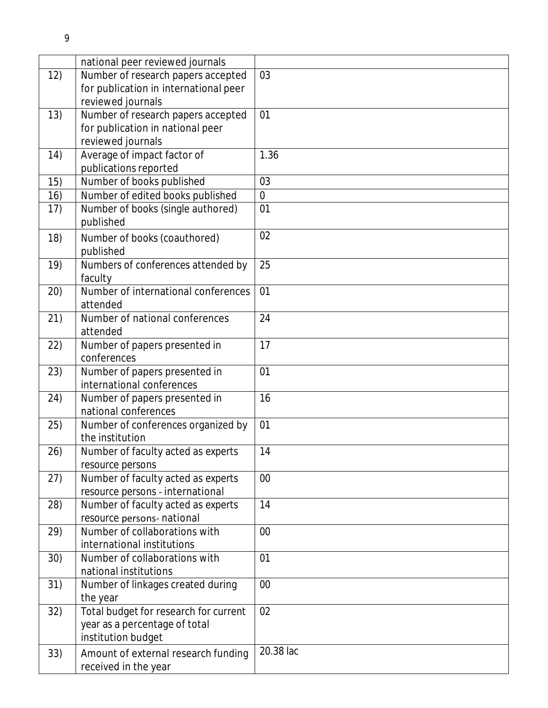|      | national peer reviewed journals       |             |
|------|---------------------------------------|-------------|
| 12)  | Number of research papers accepted    | 03          |
|      | for publication in international peer |             |
|      | reviewed journals                     |             |
| 13)  | Number of research papers accepted    | 01          |
|      | for publication in national peer      |             |
|      | reviewed journals                     |             |
| 14)  | Average of impact factor of           | 1.36        |
|      | publications reported                 |             |
| 15)  | Number of books published             | 03          |
| 16)  | Number of edited books published      | $\mathbf 0$ |
| 17)  | Number of books (single authored)     | 01          |
|      | published                             |             |
| 18)  | Number of books (coauthored)          | 02          |
|      | published                             |             |
|      |                                       | 25          |
| 19)  | Numbers of conferences attended by    |             |
|      | faculty                               |             |
| (20) | Number of international conferences   | 01          |
|      | attended                              |             |
| 21)  | Number of national conferences        | 24          |
|      | attended                              |             |
| 22)  | Number of papers presented in         | 17          |
|      | conferences                           |             |
| 23)  | Number of papers presented in         | 01          |
|      | international conferences             |             |
| 24)  | Number of papers presented in         | 16          |
|      | national conferences                  |             |
| 25)  | Number of conferences organized by    | 01          |
|      | the institution                       |             |
| 26)  | Number of faculty acted as experts    | 14          |
|      | resource persons                      |             |
| 27)  | Number of faculty acted as experts    | 00          |
|      | resource persons - international      |             |
| 28)  | Number of faculty acted as experts    | 14          |
|      | resource persons- national            |             |
| 29)  | Number of collaborations with         | 00          |
|      | international institutions            |             |
| 30)  | Number of collaborations with         | 01          |
|      | national institutions                 |             |
| 31)  | Number of linkages created during     | 00          |
|      | the year                              |             |
| 32)  | Total budget for research for current | 02          |
|      | year as a percentage of total         |             |
|      | institution budget                    |             |
| 33)  | Amount of external research funding   | 20.38 lac   |
|      |                                       |             |
|      | received in the year                  |             |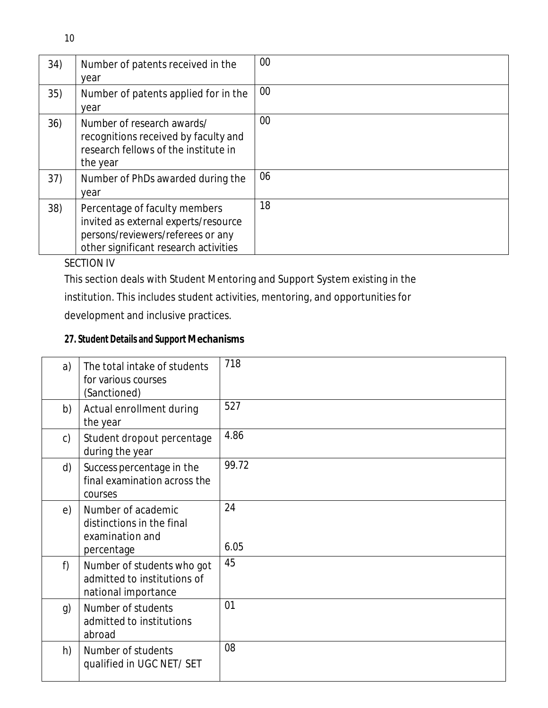| 34) | Number of patents received in the<br>year                                                                                                           | 00 |
|-----|-----------------------------------------------------------------------------------------------------------------------------------------------------|----|
| 35) | Number of patents applied for in the<br>year                                                                                                        | 00 |
| 36) | Number of research awards/<br>recognitions received by faculty and<br>research fellows of the institute in<br>the year                              | 00 |
| 37) | Number of PhDs awarded during the<br>year                                                                                                           | 06 |
| 38) | Percentage of faculty members<br>invited as external experts/resource<br>persons/reviewers/referees or any<br>other significant research activities | 18 |

# SECTION IV

This section deals with Student Mentoring and Support System existing in the

institution. This includes student activities, mentoring, and opportunities for

development and inclusive practices.

# **27. Student Details and Support Mechanisms**

| a)           | The total intake of students<br>for various courses<br>(Sanctioned)              | 718        |
|--------------|----------------------------------------------------------------------------------|------------|
| b)           | Actual enrollment during<br>the year                                             | 527        |
| $\mathsf{C}$ | Student dropout percentage<br>during the year                                    | 4.86       |
| d)           | Success percentage in the<br>final examination across the<br>courses             | 99.72      |
| e)           | Number of academic<br>distinctions in the final<br>examination and<br>percentage | 24<br>6.05 |
| f)           | Number of students who got<br>admitted to institutions of<br>national importance | 45         |
| g)           | Number of students<br>admitted to institutions<br>abroad                         | 01         |
| h)           | Number of students<br>qualified in UGC NET/ SET                                  | 08         |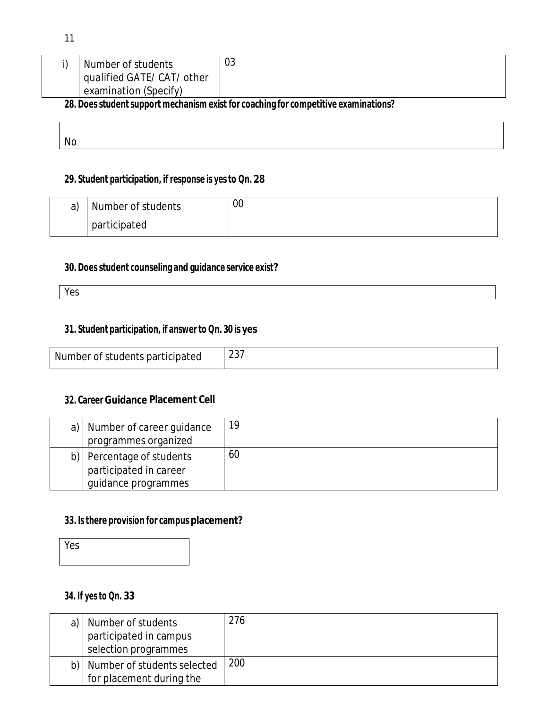| examination (Specify) |  | Number of students<br>qualified GATE/ CAT/ other | 03 |
|-----------------------|--|--------------------------------------------------|----|
|-----------------------|--|--------------------------------------------------|----|

**28. Doesstudentsupport mechanism exist for coaching for competitive examinations?**

No

# **29. Student participation, ifresponse is yesto Qn. 28**

| a) | Number of students | $00\,$ |
|----|--------------------|--------|
|    | participated       |        |

# **30. Doesstudent counseling and guidance service exist?**

Yes

#### **31. Student participation, if answer to Qn. 30 is yes**

| Number of students participated | $\sim$ $\sim$ $-$<br>$\sim$ |
|---------------------------------|-----------------------------|
|---------------------------------|-----------------------------|

## **32. Career Guidance Placement Cell**

| a)   Number of career guidance<br>programmes organized | 19 |
|--------------------------------------------------------|----|
| b)   Percentage of students                            | 60 |
| participated in career                                 |    |
| guidance programmes                                    |    |

### **33. Isthere provision for campus placement?**

Yes

# **34. If yesto Qn. 33**

| a) | Number of students<br>participated in campus<br>selection programmes | 276 |
|----|----------------------------------------------------------------------|-----|
|    | b)   Number of students selected<br>for placement during the         | 200 |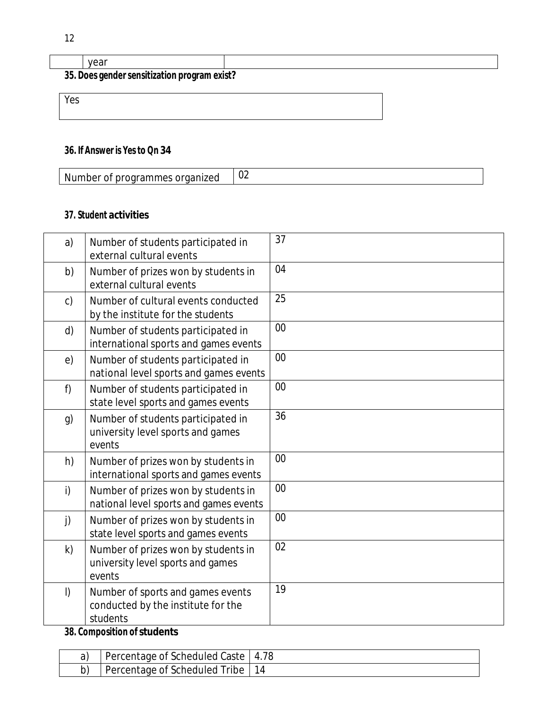|     | vear                                         |  |
|-----|----------------------------------------------|--|
|     | 35. Does gender sensitization program exist? |  |
| Yes |                                              |  |

# **36. If Answer is Yesto Qn 34**

| $\sim$ | Nı<br>$\sim$ $\sim$<br>ТH<br>м<br>, ∟<br>эτ<br>. ) I<br>эe.<br>швэ<br>$\sim$ | ◡∠ |
|--------|------------------------------------------------------------------------------|----|
|--------|------------------------------------------------------------------------------|----|

# **37. Student activities**

| a)           | Number of students participated in<br>external cultural events                      | 37 |
|--------------|-------------------------------------------------------------------------------------|----|
| b)           | Number of prizes won by students in<br>external cultural events                     | 04 |
| $\mathsf{C}$ | Number of cultural events conducted<br>by the institute for the students            | 25 |
| d)           | Number of students participated in<br>international sports and games events         | 00 |
| e)           | Number of students participated in<br>national level sports and games events        | 00 |
| f)           | Number of students participated in<br>state level sports and games events           | 00 |
| g)           | Number of students participated in<br>university level sports and games<br>events   | 36 |
| h)           | Number of prizes won by students in<br>international sports and games events        | 00 |
| i)           | Number of prizes won by students in<br>national level sports and games events       | 00 |
| j)           | Number of prizes won by students in<br>state level sports and games events          | 00 |
| k)           | Number of prizes won by students in<br>university level sports and games<br>events  | 02 |
| $\vert$      | Number of sports and games events<br>conducted by the institute for the<br>students | 19 |

# **38. Composition of students**

| Percentage of Scheduled Caste | 4.78 |
|-------------------------------|------|
| Percentage of Scheduled Tribe |      |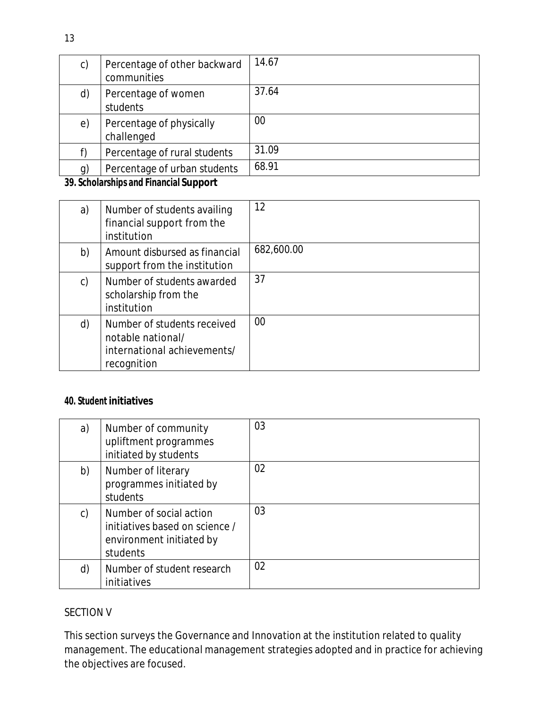| c)             | Percentage of other backward<br>communities | 14.67 |
|----------------|---------------------------------------------|-------|
| d)             | Percentage of women<br>students             | 37.64 |
| e)             | Percentage of physically<br>challenged      | 00    |
| f)             | Percentage of rural students                | 31.09 |
| $\mathfrak{g}$ | Percentage of urban students                | 68.91 |
|                | .<br>$\cdots$                               |       |

#### **39. Scholarships and Financial Support**

| a) | Number of students availing<br>financial support from the<br>institution                       | 12         |
|----|------------------------------------------------------------------------------------------------|------------|
| b) | Amount disbursed as financial<br>support from the institution                                  | 682,600.00 |
| C) | Number of students awarded<br>scholarship from the<br>institution                              | 37         |
| d) | Number of students received<br>notable national/<br>international achievements/<br>recognition | 00         |

#### **40. Student initiatives**

| a) | Number of community<br>upliftment programmes<br>initiated by students                             | 03 |
|----|---------------------------------------------------------------------------------------------------|----|
| b) | Number of literary<br>programmes initiated by<br>students                                         | 02 |
| C) | Number of social action<br>initiatives based on science /<br>environment initiated by<br>students | 03 |
| d) | Number of student research<br>initiatives                                                         | 02 |

# SECTION V

This section surveys the Governance and Innovation at the institution related to quality management. The educational management strategies adopted and in practice for achieving the objectives are focused.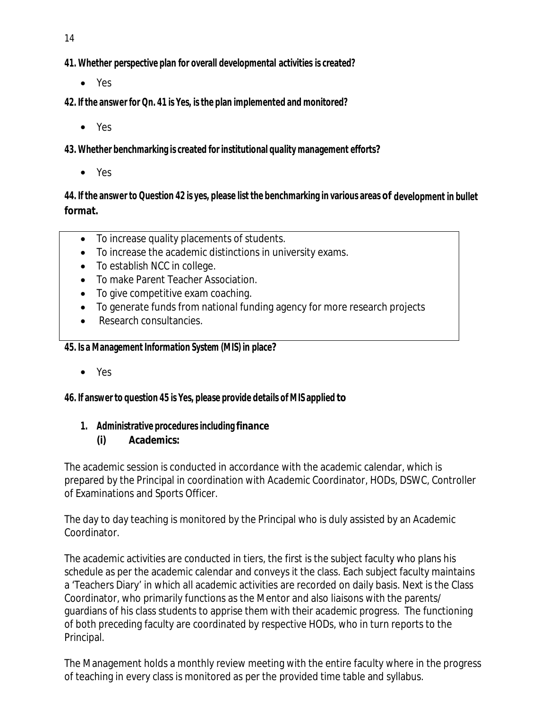- 14
- **41. Whether perspective plan for overall developmental activities is created?**
	- Yes
- **42. If the answer for Qn. 41 is Yes, isthe plan implemented and monitored?**
	- Yes

**43. Whether benchmarking is created for institutional quality management efforts?**

Yes

44. If the answer to Question 42 is yes, please list the benchmarking in various areas of development in bullet **format.**

- To increase quality placements of students.
- To increase the academic distinctions in university exams.
- To establish NCC in college.
- To make Parent Teacher Association.
- To give competitive exam coaching.
- To generate funds from national funding agency for more research projects
- Research consultancies.

#### **45. Is a Management Information System (MIS) in place?**

Yes

#### **46. If answer to question 45 is Yes, please provide details of MIS applied to**

# **1. Administrative procedures including finance**

#### **(i) Academics:**

The academic session is conducted in accordance with the academic calendar, which is prepared by the Principal in coordination with Academic Coordinator, HODs, DSWC, Controller of Examinations and Sports Officer.

The day to day teaching is monitored by the Principal who is duly assisted by an Academic Coordinator.

The academic activities are conducted in tiers, the first is the subject faculty who plans his schedule as per the academic calendar and conveys it the class. Each subject faculty maintains a 'Teachers Diary' in which all academic activities are recorded on daily basis. Next is the Class Coordinator, who primarily functions as the Mentor and also liaisons with the parents/ guardians of his class students to apprise them with their academic progress. The functioning of both preceding faculty are coordinated by respective HODs, who in turn reports to the Principal.

The Management holds a monthly review meeting with the entire faculty where in the progress of teaching in every class is monitored as per the provided time table and syllabus.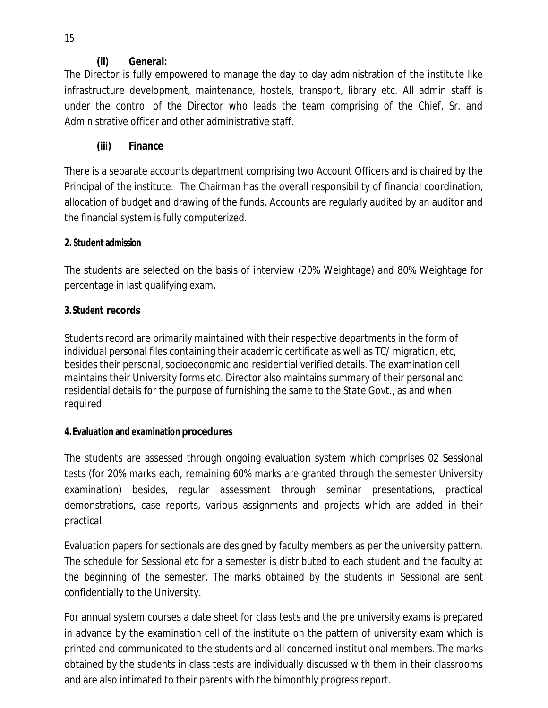# **(ii) General:**

The Director is fully empowered to manage the day to day administration of the institute like infrastructure development, maintenance, hostels, transport, library etc. All admin staff is under the control of the Director who leads the team comprising of the Chief, Sr. and Administrative officer and other administrative staff.

# **(iii) Finance**

There is a separate accounts department comprising two Account Officers and is chaired by the Principal of the institute. The Chairman has the overall responsibility of financial coordination, allocation of budget and drawing of the funds. Accounts are regularly audited by an auditor and the financial system is fully computerized.

# **2. Student admission**

The students are selected on the basis of interview (20% Weightage) and 80% Weightage for percentage in last qualifying exam.

# **3.Student records**

Students record are primarily maintained with their respective departments in the form of individual personal files containing their academic certificate as well as TC/ migration, etc, besides their personal, socioeconomic and residential verified details. The examination cell maintains their University forms etc. Director also maintains summary of their personal and residential details for the purpose of furnishing the same to the State Govt., as and when required.

# **4.Evaluation and examination procedures**

The students are assessed through ongoing evaluation system which comprises 02 Sessional tests (for 20% marks each, remaining 60% marks are granted through the semester University examination) besides, regular assessment through seminar presentations, practical demonstrations, case reports, various assignments and projects which are added in their practical.

Evaluation papers for sectionals are designed by faculty members as per the university pattern. The schedule for Sessional etc for a semester is distributed to each student and the faculty at the beginning of the semester. The marks obtained by the students in Sessional are sent confidentially to the University.

For annual system courses a date sheet for class tests and the pre university exams is prepared in advance by the examination cell of the institute on the pattern of university exam which is printed and communicated to the students and all concerned institutional members. The marks obtained by the students in class tests are individually discussed with them in their classrooms and are also intimated to their parents with the bimonthly progress report.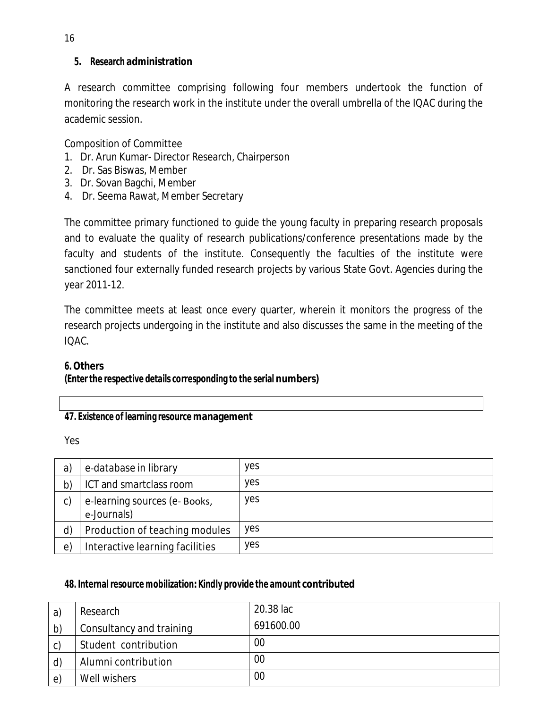## **5. Research administration**

A research committee comprising following four members undertook the function of monitoring the research work in the institute under the overall umbrella of the IQAC during the academic session.

Composition of Committee

- 1. Dr. Arun Kumar- Director Research, Chairperson
- 2. Dr. Sas Biswas, Member
- 3. Dr. Sovan Bagchi, Member
- 4. Dr. Seema Rawat, Member Secretary

The committee primary functioned to guide the young faculty in preparing research proposals and to evaluate the quality of research publications/conference presentations made by the faculty and students of the institute. Consequently the faculties of the institute were sanctioned four externally funded research projects by various State Govt. Agencies during the year 2011-12.

The committee meets at least once every quarter, wherein it monitors the progress of the research projects undergoing in the institute and also discusses the same in the meeting of the IQAC.

# **6.Others**

# **(Enter the respective details corresponding to the serial numbers)**

# **47. Existence of learning resource management**

Yes

| a) | e-database in library                        | <b>ves</b> |  |
|----|----------------------------------------------|------------|--|
| b) | ICT and smartclass room                      | <b>ves</b> |  |
| c) | e-learning sources (e- Books,<br>e-Journals) | <b>ves</b> |  |
| d) | Production of teaching modules               | <b>ves</b> |  |
| e) | Interactive learning facilities              | <b>ves</b> |  |

# **48. Internal resource mobilization:Kindly provide the amount contributed**

| a)           | Research                 | 20.38 lac |
|--------------|--------------------------|-----------|
| b)           | Consultancy and training | 691600.00 |
| C)           | Student contribution     | 00        |
| $\mathsf{d}$ | Alumni contribution      | 00        |
| e)           | Well wishers             | 00        |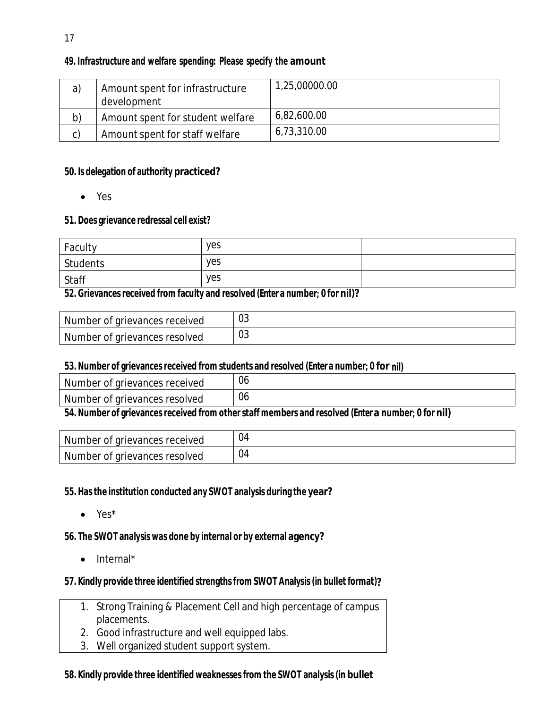# **49. Infrastructure and welfare spending: Please specify the amount**

| a) | Amount spent for infrastructure<br>development | 1,25,00000.00 |
|----|------------------------------------------------|---------------|
| b) | Amount spent for student welfare               | 6,82,600.00   |
| C) | Amount spent for staff welfare                 | 6,73,310.00   |

#### **50. Is delegation of authority practiced?**

Yes

#### **51. Does grievance redressal cell exist?**

| Faculty  | yes |  |
|----------|-----|--|
| Students | yes |  |
| Staff    | yes |  |

#### **52. Grievancesreceived from faculty and resolved (Enter a number; 0 for nil)?**

| Number of grievances received | $\cap$<br>υJ |
|-------------------------------|--------------|
| Number of grievances resolved | $\cap$<br>υJ |

#### **53. Number of grievancesreceived from students and resolved (Enter a number; 0 for nil)**

| Number of grievances received | U6                                          |
|-------------------------------|---------------------------------------------|
| Number of grievances resolved | 06                                          |
| ---<br>. .                    | $\overline{\phantom{a}}$<br>- 14<br><br>. . |

#### **54. Number of grievancesreceived from otherstaff members and resolved (Enter a number; 0 for nil)**

| Number of grievances received | 04 |
|-------------------------------|----|
| Number of grievances resolved | 04 |

#### **55. Hasthe institution conducted any SWOT analysis during the year?**

Yes\*

#### **56. The SWOT analysis was done by internal or by external agency?**

 $\bullet$  Internal\*

#### **57. Kindly provide three identified strengthsfrom SWOT Analysis(in bullet format)?**

- 1. Strong Training & Placement Cell and high percentage of campus placements.
- 2. Good infrastructure and well equipped labs.
- 3. Well organized student support system.

#### **58. Kindly provide three identified weaknessesfrom the SWOT analysis(in bullet**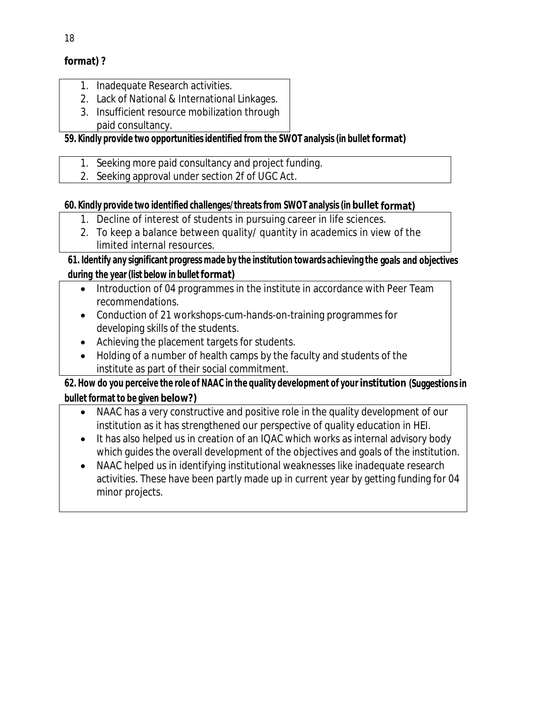# **format) ?**

- 1. Inadequate Research activities.
- 2. Lack of National & International Linkages.
- 3. Insufficient resource mobilization through
	- paid consultancy.

# **59. Kindly provide two opportunitiesidentified from the SWOT analysis (in bullet format)**

- 1. Seeking more paid consultancy and project funding.
- 2. Seeking approval under section 2f of UGC Act.

# **60. Kindly provide two identified challenges/threatsfrom SWOT analysis(in bullet format)**

- 1. Decline of interest of students in pursuing career in life sciences.
- 2. To keep a balance between quality/ quantity in academics in view of the limited internal resources.

# **61. Identify any significant progress made by the institution towards achieving the goals and objectives during the year(list below in bulletformat)**

- Introduction of 04 programmes in the institute in accordance with Peer Team recommendations.
- Conduction of 21 workshops-cum-hands-on-training programmes for developing skills of the students.
- Achieving the placement targets for students.
- Holding of a number of health camps by the faculty and students of the institute as part of their social commitment.

# **62. How do you perceive the role of NAAC in the quality development of your institution (Suggestionsin bullet format to be given below?)**

- NAAC has a very constructive and positive role in the quality development of our institution as it has strengthened our perspective of quality education in HEI.
- It has also helped us in creation of an IQAC which works as internal advisory body which guides the overall development of the objectives and goals of the institution.
- NAAC helped us in identifying institutional weaknesses like inadequate research activities. These have been partly made up in current year by getting funding for 04 minor projects.